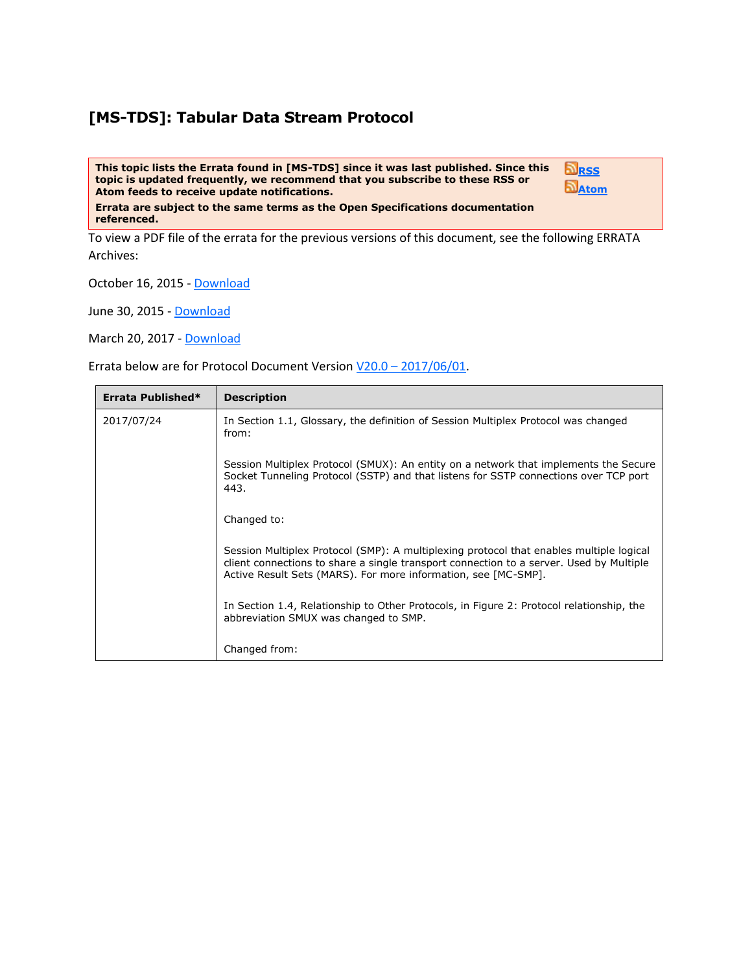## **[MS-TDS]: Tabular Data Stream Protocol**

**This topic lists the Errata found in [MS-TDS] since it was last published. Since this topic is updated frequently, we recommend that you subscribe to these RSS or Atom feeds to receive update notifications.**

**[RSS](http://blogs.msdn.com/b/protocol_content_errata/rss.aspx) [Atom](http://blogs.msdn.com/b/protocol_content_errata/atom.aspx)**

**Errata are subject to the same terms as the Open Specifications documentation referenced.**

To view a PDF file of the errata for the previous versions of this document, see the following ERRATA Archives:

October 16, 2015 - [Download](http://go.microsoft.com/fwlink/?LinkID=690377)

June 30, 2015 - [Download](http://go.microsoft.com/fwlink/?LinkId=617579)

March 20, 2017 - [Download](https://winprotocoldoc.blob.core.windows.net/productionwindowsarchives/MS-WINERRATA/%5bMS-WINERRATA%5d-170320.pdf)

Errata below are for Protocol Document Version V20.0 – [2017/06/01.](http://go.microsoft.com/fwlink/?LinkID=511321)

| Errata Published* | <b>Description</b>                                                                                                                                                                                                                                   |  |  |
|-------------------|------------------------------------------------------------------------------------------------------------------------------------------------------------------------------------------------------------------------------------------------------|--|--|
| 2017/07/24        | In Section 1.1, Glossary, the definition of Session Multiplex Protocol was changed<br>from:                                                                                                                                                          |  |  |
|                   | Session Multiplex Protocol (SMUX): An entity on a network that implements the Secure<br>Socket Tunneling Protocol (SSTP) and that listens for SSTP connections over TCP port<br>443.                                                                 |  |  |
|                   | Changed to:                                                                                                                                                                                                                                          |  |  |
|                   | Session Multiplex Protocol (SMP): A multiplexing protocol that enables multiple logical<br>client connections to share a single transport connection to a server. Used by Multiple<br>Active Result Sets (MARS). For more information, see [MC-SMP]. |  |  |
|                   | In Section 1.4, Relationship to Other Protocols, in Figure 2: Protocol relationship, the<br>abbreviation SMUX was changed to SMP.                                                                                                                    |  |  |
|                   | Changed from:                                                                                                                                                                                                                                        |  |  |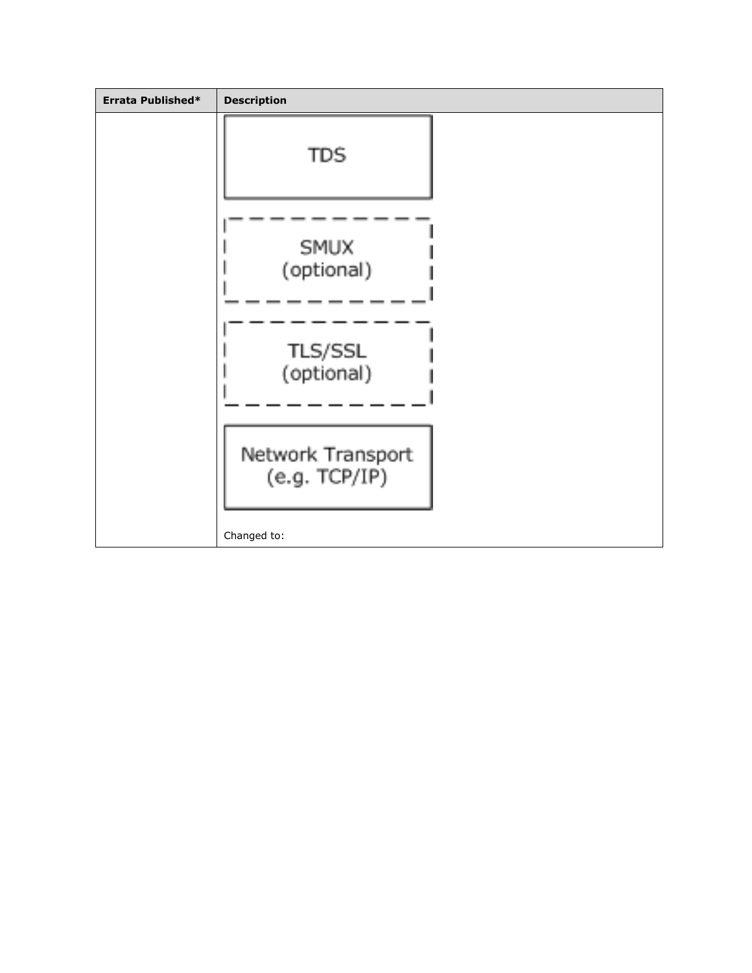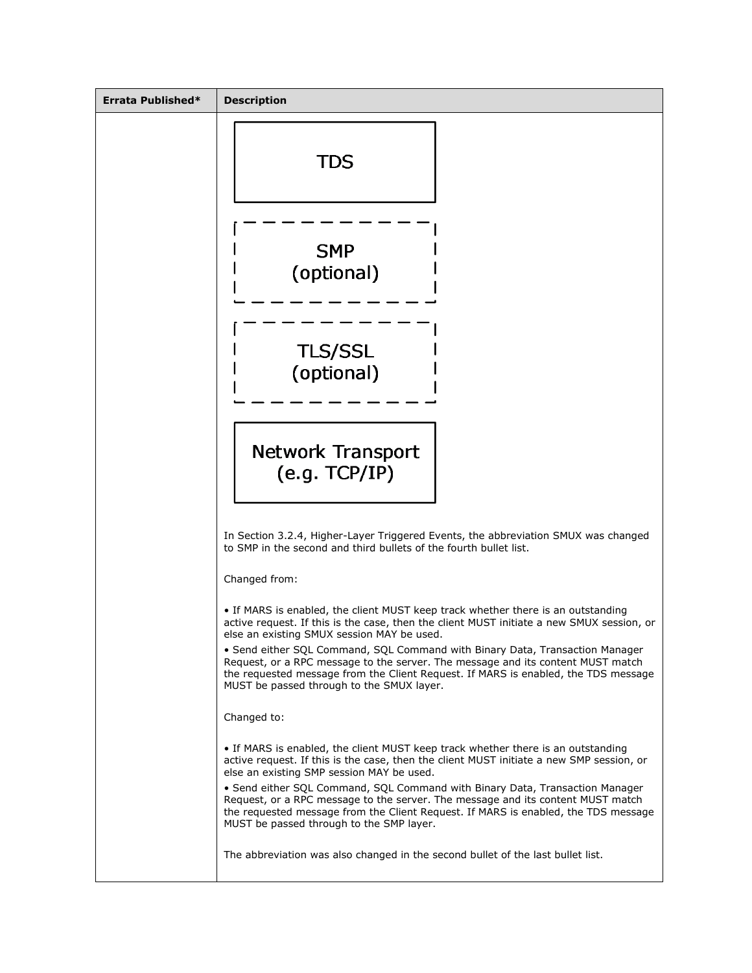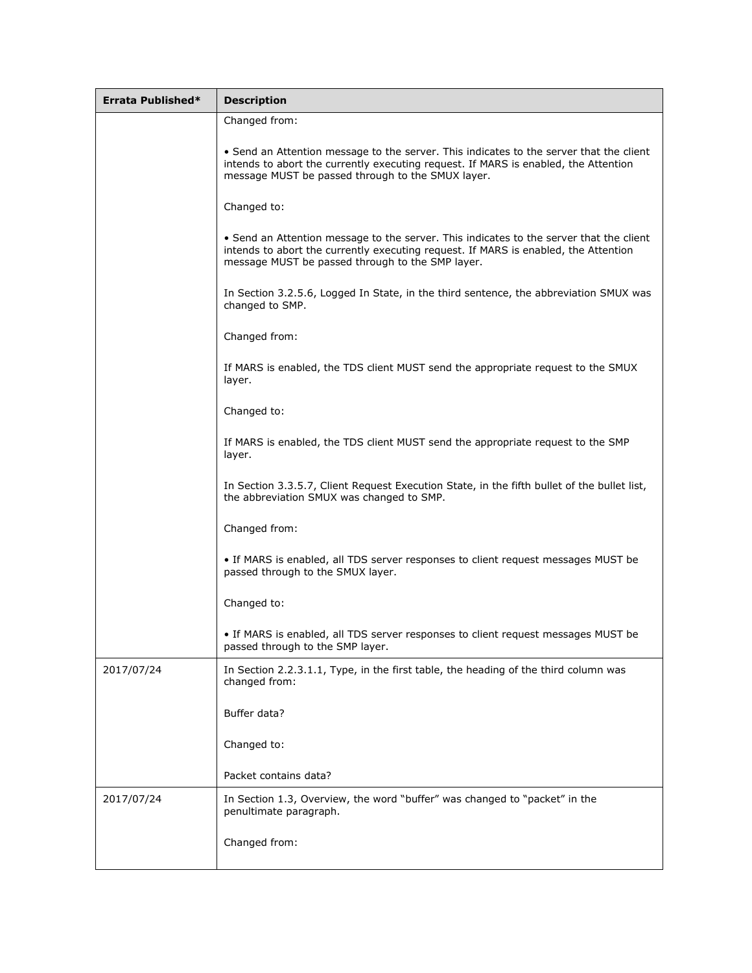| Errata Published* | <b>Description</b>                                                                                                                                                                                                                  |  |  |  |  |
|-------------------|-------------------------------------------------------------------------------------------------------------------------------------------------------------------------------------------------------------------------------------|--|--|--|--|
|                   | Changed from:                                                                                                                                                                                                                       |  |  |  |  |
|                   | • Send an Attention message to the server. This indicates to the server that the client<br>intends to abort the currently executing request. If MARS is enabled, the Attention<br>message MUST be passed through to the SMUX layer. |  |  |  |  |
|                   | Changed to:                                                                                                                                                                                                                         |  |  |  |  |
|                   | • Send an Attention message to the server. This indicates to the server that the client<br>intends to abort the currently executing request. If MARS is enabled, the Attention<br>message MUST be passed through to the SMP layer.  |  |  |  |  |
|                   | In Section 3.2.5.6, Logged In State, in the third sentence, the abbreviation SMUX was<br>changed to SMP.                                                                                                                            |  |  |  |  |
|                   | Changed from:                                                                                                                                                                                                                       |  |  |  |  |
|                   | If MARS is enabled, the TDS client MUST send the appropriate request to the SMUX<br>layer.                                                                                                                                          |  |  |  |  |
|                   | Changed to:                                                                                                                                                                                                                         |  |  |  |  |
|                   | If MARS is enabled, the TDS client MUST send the appropriate request to the SMP<br>layer.                                                                                                                                           |  |  |  |  |
|                   | In Section 3.3.5.7, Client Request Execution State, in the fifth bullet of the bullet list,<br>the abbreviation SMUX was changed to SMP.                                                                                            |  |  |  |  |
|                   | Changed from:                                                                                                                                                                                                                       |  |  |  |  |
|                   | • If MARS is enabled, all TDS server responses to client request messages MUST be<br>passed through to the SMUX layer.                                                                                                              |  |  |  |  |
|                   | Changed to:                                                                                                                                                                                                                         |  |  |  |  |
|                   | . If MARS is enabled, all TDS server responses to client request messages MUST be<br>passed through to the SMP layer.                                                                                                               |  |  |  |  |
| 2017/07/24        | In Section 2.2.3.1.1, Type, in the first table, the heading of the third column was<br>changed from:                                                                                                                                |  |  |  |  |
|                   | Buffer data?                                                                                                                                                                                                                        |  |  |  |  |
|                   | Changed to:                                                                                                                                                                                                                         |  |  |  |  |
|                   | Packet contains data?                                                                                                                                                                                                               |  |  |  |  |
| 2017/07/24        | In Section 1.3, Overview, the word "buffer" was changed to "packet" in the<br>penultimate paragraph.                                                                                                                                |  |  |  |  |
|                   | Changed from:                                                                                                                                                                                                                       |  |  |  |  |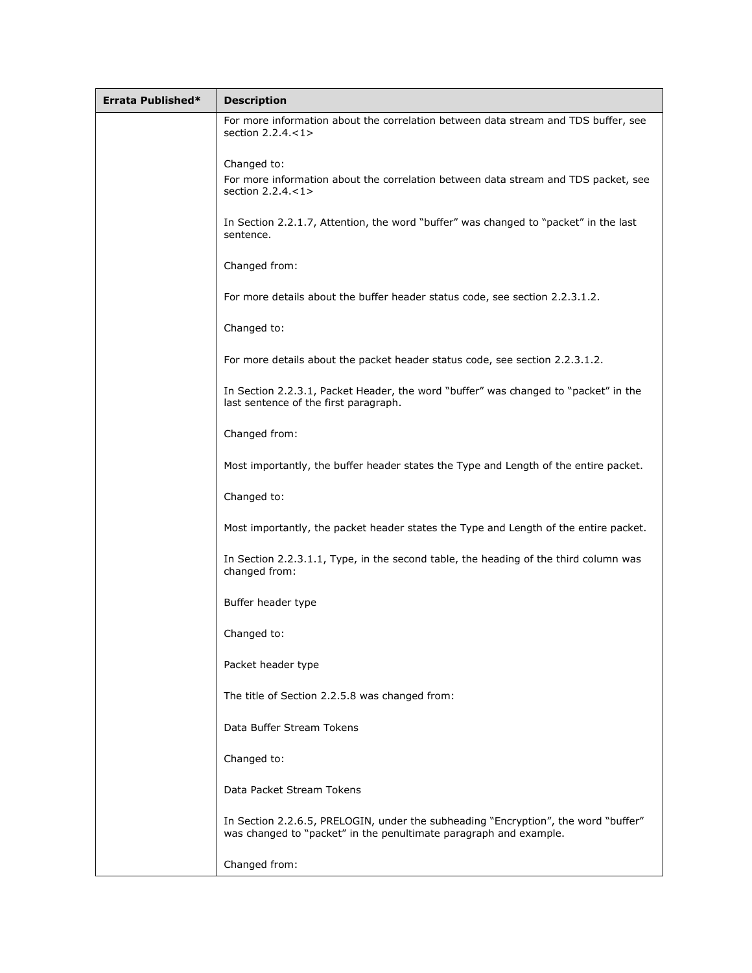| Errata Published* | <b>Description</b>                                                                                                                                      |  |  |
|-------------------|---------------------------------------------------------------------------------------------------------------------------------------------------------|--|--|
|                   | For more information about the correlation between data stream and TDS buffer, see<br>section 2.2.4 <1>                                                 |  |  |
|                   | Changed to:<br>For more information about the correlation between data stream and TDS packet, see<br>section $2.2.4 < 1$                                |  |  |
|                   | In Section 2.2.1.7, Attention, the word "buffer" was changed to "packet" in the last<br>sentence.                                                       |  |  |
|                   | Changed from:                                                                                                                                           |  |  |
|                   | For more details about the buffer header status code, see section 2.2.3.1.2.                                                                            |  |  |
|                   | Changed to:                                                                                                                                             |  |  |
|                   | For more details about the packet header status code, see section 2.2.3.1.2.                                                                            |  |  |
|                   | In Section 2.2.3.1, Packet Header, the word "buffer" was changed to "packet" in the<br>last sentence of the first paragraph.                            |  |  |
|                   | Changed from:                                                                                                                                           |  |  |
|                   | Most importantly, the buffer header states the Type and Length of the entire packet.                                                                    |  |  |
|                   | Changed to:                                                                                                                                             |  |  |
|                   | Most importantly, the packet header states the Type and Length of the entire packet.                                                                    |  |  |
|                   | In Section 2.2.3.1.1, Type, in the second table, the heading of the third column was<br>changed from:                                                   |  |  |
|                   | Buffer header type                                                                                                                                      |  |  |
|                   | Changed to:                                                                                                                                             |  |  |
|                   | Packet header type                                                                                                                                      |  |  |
|                   | The title of Section 2.2.5.8 was changed from:                                                                                                          |  |  |
|                   | Data Buffer Stream Tokens                                                                                                                               |  |  |
|                   | Changed to:                                                                                                                                             |  |  |
|                   | Data Packet Stream Tokens                                                                                                                               |  |  |
|                   | In Section 2.2.6.5, PRELOGIN, under the subheading "Encryption", the word "buffer"<br>was changed to "packet" in the penultimate paragraph and example. |  |  |
|                   | Changed from:                                                                                                                                           |  |  |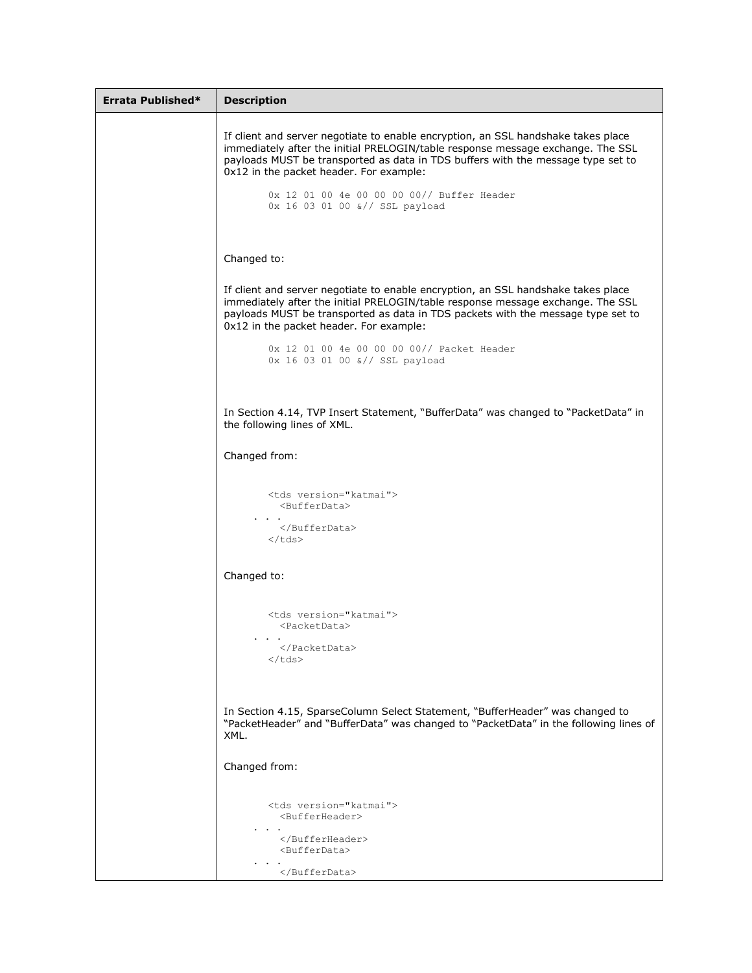| Errata Published* | <b>Description</b>                                                                                                                                                                                                                                                                                  |  |  |  |  |
|-------------------|-----------------------------------------------------------------------------------------------------------------------------------------------------------------------------------------------------------------------------------------------------------------------------------------------------|--|--|--|--|
|                   | If client and server negotiate to enable encryption, an SSL handshake takes place<br>immediately after the initial PRELOGIN/table response message exchange. The SSL<br>payloads MUST be transported as data in TDS buffers with the message type set to<br>0x12 in the packet header. For example: |  |  |  |  |
|                   | 0x 12 01 00 4e 00 00 00 00// Buffer Header<br>0x 16 03 01 00 &// SSL payload                                                                                                                                                                                                                        |  |  |  |  |
|                   | Changed to:                                                                                                                                                                                                                                                                                         |  |  |  |  |
|                   | If client and server negotiate to enable encryption, an SSL handshake takes place<br>immediately after the initial PRELOGIN/table response message exchange. The SSL<br>payloads MUST be transported as data in TDS packets with the message type set to<br>0x12 in the packet header. For example: |  |  |  |  |
|                   | 0x 12 01 00 4e 00 00 00 00// Packet Header<br>0x 16 03 01 00 &// SSL payload                                                                                                                                                                                                                        |  |  |  |  |
|                   | In Section 4.14, TVP Insert Statement, "BufferData" was changed to "PacketData" in<br>the following lines of XML.                                                                                                                                                                                   |  |  |  |  |
|                   | Changed from:                                                                                                                                                                                                                                                                                       |  |  |  |  |
|                   | <tds version="katmai"><br/><bufferdata><br/><math>\cdot</math> <math>\cdot</math></bufferdata></tds>                                                                                                                                                                                                |  |  |  |  |
|                   | <br>$\langle /tds \rangle$                                                                                                                                                                                                                                                                          |  |  |  |  |
|                   | Changed to:                                                                                                                                                                                                                                                                                         |  |  |  |  |
|                   | <tds version="katmai"><br/><packetdata></packetdata></tds>                                                                                                                                                                                                                                          |  |  |  |  |
|                   | <br>                                                                                                                                                                                                                                                                                                |  |  |  |  |
|                   | In Section 4.15, SparseColumn Select Statement, "BufferHeader" was changed to<br>"PacketHeader" and "BufferData" was changed to "PacketData" in the following lines of<br>XML.                                                                                                                      |  |  |  |  |
|                   | Changed from:                                                                                                                                                                                                                                                                                       |  |  |  |  |
|                   | <tds version="katmai"><br/><bufferheader></bufferheader></tds>                                                                                                                                                                                                                                      |  |  |  |  |
|                   | <br><bufferdata></bufferdata>                                                                                                                                                                                                                                                                       |  |  |  |  |
|                   |                                                                                                                                                                                                                                                                                                     |  |  |  |  |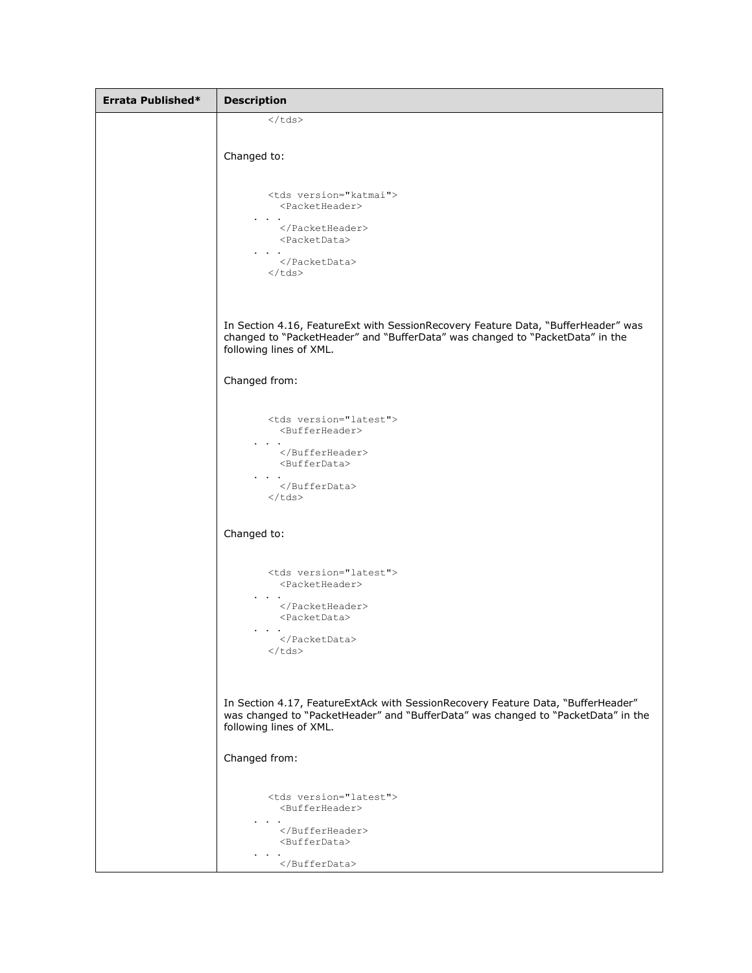```
Errata Published* Description
                   \langle tds \rangleChanged to:
                   <tds version="katmai">
                      <PacketHeader>
                 . . . 
                      </PacketHeader>
                      <PacketData>
                 . . . 
                      </PacketData>
                   \langle tds \rangleIn Section 4.16, FeatureExt with SessionRecovery Feature Data, "BufferHeader" was 
           changed to "PacketHeader" and "BufferData" was changed to "PacketData" in the 
           following lines of XML. 
           Changed from:
                   <tds version="latest">
                      <BufferHeader>
                 . . . 
                      </BufferHeader>
                      <BufferData>
                 . . . 
                      </BufferData>
                   \langle /tds \rangleChanged to:
                   <tds version="latest">
                      <PacketHeader>
                 . . . 
                      </PacketHeader>
                      <PacketData>
                 . . . 
                     </PacketData>
                   </tds>
           In Section 4.17, FeatureExtAck with SessionRecovery Feature Data, "BufferHeader" 
           was changed to "PacketHeader" and "BufferData" was changed to "PacketData" in the
           following lines of XML. 
           Changed from:
                   <tds version="latest">
                      <BufferHeader>
                 . . . 
                      </BufferHeader>
                      <BufferData>
                 . . . 
                      </BufferData>
```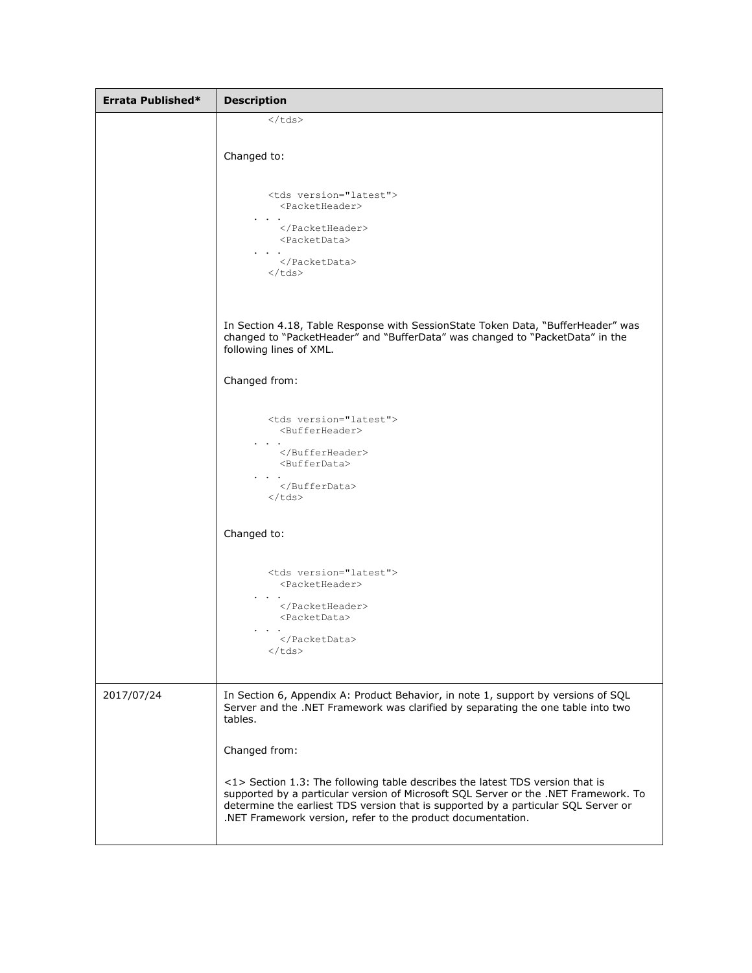| Errata Published* | <b>Description</b>                                                                                                                                                                                                                                                                                                        |  |  |  |
|-------------------|---------------------------------------------------------------------------------------------------------------------------------------------------------------------------------------------------------------------------------------------------------------------------------------------------------------------------|--|--|--|
|                   |                                                                                                                                                                                                                                                                                                                           |  |  |  |
|                   | Changed to:                                                                                                                                                                                                                                                                                                               |  |  |  |
|                   | <tds version="latest"><br/><packetheader><br/></packetheader><br/><packetdata><br/></packetdata><br/><math>\langle / \text{tds} \rangle</math></tds>                                                                                                                                                                      |  |  |  |
|                   | In Section 4.18, Table Response with SessionState Token Data, "BufferHeader" was<br>changed to "PacketHeader" and "BufferData" was changed to "PacketData" in the<br>following lines of XML.                                                                                                                              |  |  |  |
|                   | Changed from:                                                                                                                                                                                                                                                                                                             |  |  |  |
|                   | <tds version="latest"><br/><bufferheader><br/></bufferheader><br/><bufferdata><br/></bufferdata><br/><math>\langle / \text{tds} \rangle</math></tds>                                                                                                                                                                      |  |  |  |
|                   | Changed to:                                                                                                                                                                                                                                                                                                               |  |  |  |
|                   | <tds version="latest"><br/><packetheader><br/></packetheader><br/><packetdata><br/></packetdata><br/></tds>                                                                                                                                                                                                               |  |  |  |
| 2017/07/24        | In Section 6, Appendix A: Product Behavior, in note 1, support by versions of SQL<br>Server and the .NET Framework was clarified by separating the one table into two<br>tables.                                                                                                                                          |  |  |  |
|                   | Changed from:                                                                                                                                                                                                                                                                                                             |  |  |  |
|                   | <1> Section 1.3: The following table describes the latest TDS version that is<br>supported by a particular version of Microsoft SQL Server or the .NET Framework. To<br>determine the earliest TDS version that is supported by a particular SQL Server or<br>.NET Framework version, refer to the product documentation. |  |  |  |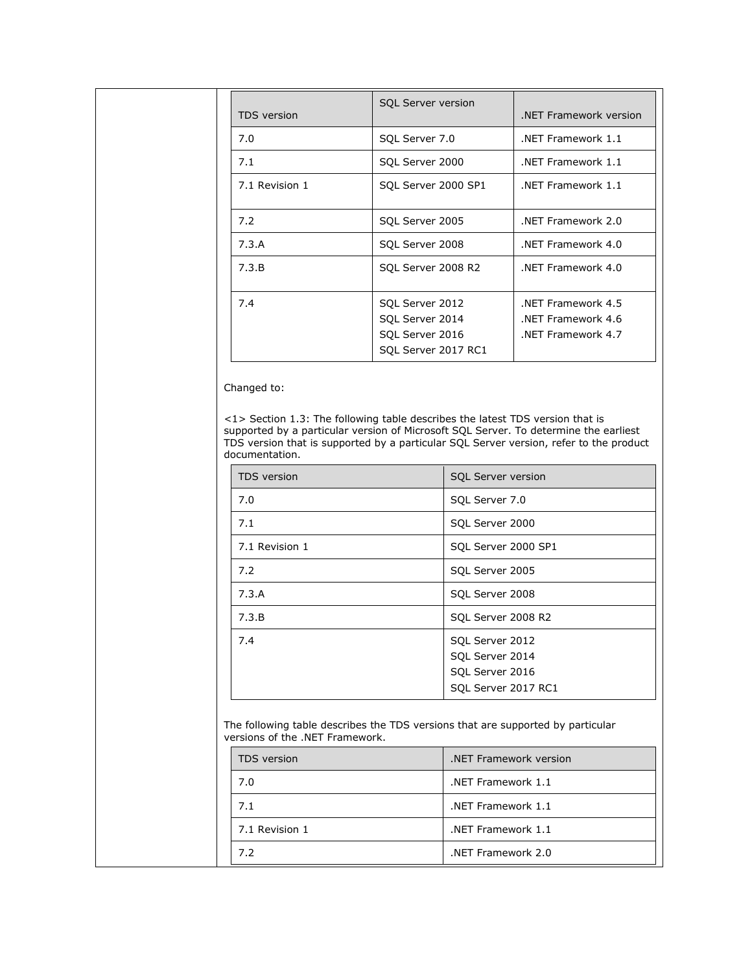| <b>TDS</b> version | <b>SQL Server version</b>                                                    | NET Framework version.                                      |
|--------------------|------------------------------------------------------------------------------|-------------------------------------------------------------|
| 7.0                | SQL Server 7.0                                                               | NET Framework 1.1                                           |
| 7.1                | SQL Server 2000                                                              | NET Framework 1.1                                           |
| 7.1 Revision 1     | SQL Server 2000 SP1                                                          | NET Framework 1.1                                           |
| 7.2                | SQL Server 2005                                                              | NET Framework 2.0                                           |
| 7.3.A              | SQL Server 2008                                                              | NET Framework 4.0                                           |
| 7.3.B              | SQL Server 2008 R2                                                           | NET Framework 4.0                                           |
| 7.4                | SQL Server 2012<br>SQL Server 2014<br>SQL Server 2016<br>SQL Server 2017 RC1 | NET Framework 4.5<br>NET Framework 4.6<br>NET Framework 4.7 |

Changed to:

<1> Section 1.3: The following table describes the latest TDS version that is supported by a particular version of Microsoft SQL Server. To determine the earliest TDS version that is supported by a particular SQL Server version, refer to the product documentation.

| <b>TDS</b> version | <b>SQL Server version</b>                                                    |  |  |
|--------------------|------------------------------------------------------------------------------|--|--|
| 7.0                | SQL Server 7.0                                                               |  |  |
| 7.1                | SQL Server 2000                                                              |  |  |
| 7.1 Revision 1     | SQL Server 2000 SP1                                                          |  |  |
| 7.2                | SQL Server 2005                                                              |  |  |
| 7.3.A              | SQL Server 2008                                                              |  |  |
| 7.3.B              | SQL Server 2008 R2                                                           |  |  |
| 7.4                | SQL Server 2012<br>SQL Server 2014<br>SQL Server 2016<br>SQL Server 2017 RC1 |  |  |

The following table describes the TDS versions that are supported by particular versions of the .NET Framework.

| <b>TDS</b> version | .NET Framework version |
|--------------------|------------------------|
| 7.0                | .NET Framework 1.1     |
| 7.1                | .NET Framework 1.1     |
| 7.1 Revision 1     | .NET Framework 1.1     |
| 72                 | NET Framework 2.0      |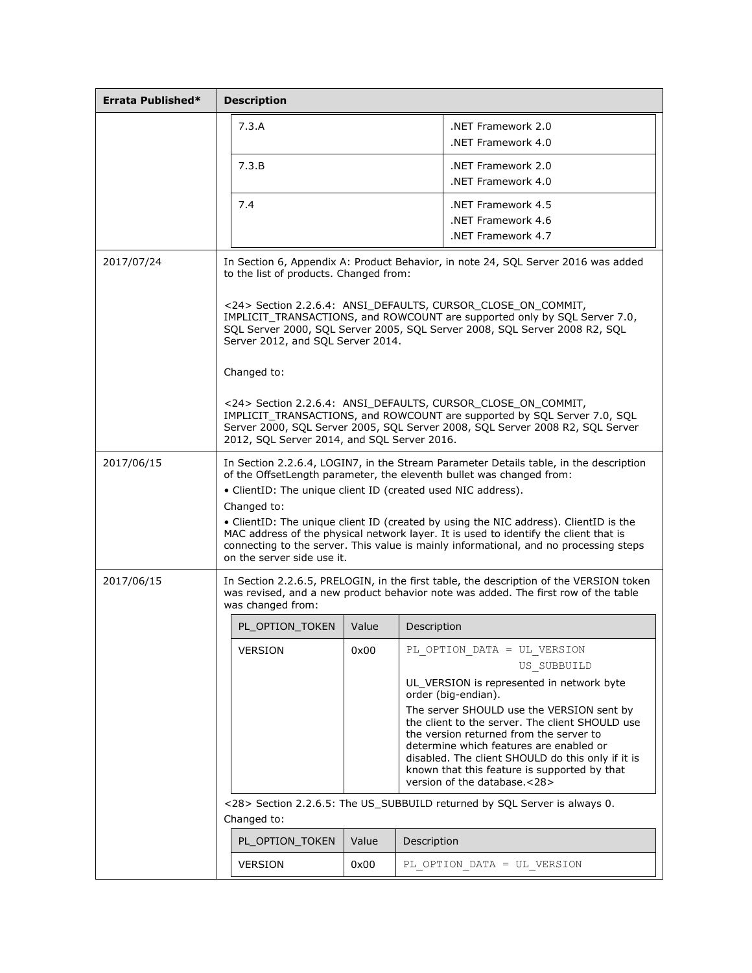| Errata Published* | <b>Description</b>                                                                                                                                                                                                                                                                                                                                                                                                                                                                                                                                  |                 |       |             |                                                                                                                                                                                                                                                                                                                                                                                                                                           |
|-------------------|-----------------------------------------------------------------------------------------------------------------------------------------------------------------------------------------------------------------------------------------------------------------------------------------------------------------------------------------------------------------------------------------------------------------------------------------------------------------------------------------------------------------------------------------------------|-----------------|-------|-------------|-------------------------------------------------------------------------------------------------------------------------------------------------------------------------------------------------------------------------------------------------------------------------------------------------------------------------------------------------------------------------------------------------------------------------------------------|
|                   |                                                                                                                                                                                                                                                                                                                                                                                                                                                                                                                                                     | 7.3.A           |       |             | NET Framework 2.0<br>NET Framework 4.0                                                                                                                                                                                                                                                                                                                                                                                                    |
|                   |                                                                                                                                                                                                                                                                                                                                                                                                                                                                                                                                                     | 7.3.B           |       |             | NET Framework 2.0<br>NET Framework 4.0                                                                                                                                                                                                                                                                                                                                                                                                    |
|                   |                                                                                                                                                                                                                                                                                                                                                                                                                                                                                                                                                     | 7.4             |       |             | NET Framework 4.5<br>NET Framework 4.6<br>NET Framework 4.7                                                                                                                                                                                                                                                                                                                                                                               |
| 2017/07/24        | In Section 6, Appendix A: Product Behavior, in note 24, SQL Server 2016 was added<br>to the list of products. Changed from:                                                                                                                                                                                                                                                                                                                                                                                                                         |                 |       |             |                                                                                                                                                                                                                                                                                                                                                                                                                                           |
|                   | <24> Section 2.2.6.4: ANSI DEFAULTS, CURSOR CLOSE ON COMMIT,<br>IMPLICIT_TRANSACTIONS, and ROWCOUNT are supported only by SQL Server 7.0,<br>SQL Server 2000, SQL Server 2005, SQL Server 2008, SQL Server 2008 R2, SQL<br>Server 2012, and SQL Server 2014.                                                                                                                                                                                                                                                                                        |                 |       |             |                                                                                                                                                                                                                                                                                                                                                                                                                                           |
|                   |                                                                                                                                                                                                                                                                                                                                                                                                                                                                                                                                                     | Changed to:     |       |             |                                                                                                                                                                                                                                                                                                                                                                                                                                           |
|                   | <24> Section 2.2.6.4: ANSI_DEFAULTS, CURSOR_CLOSE_ON_COMMIT,<br>IMPLICIT_TRANSACTIONS, and ROWCOUNT are supported by SQL Server 7.0, SQL<br>Server 2000, SQL Server 2005, SQL Server 2008, SQL Server 2008 R2, SQL Server<br>2012, SQL Server 2014, and SQL Server 2016.                                                                                                                                                                                                                                                                            |                 |       |             |                                                                                                                                                                                                                                                                                                                                                                                                                                           |
| 2017/06/15        | In Section 2.2.6.4, LOGIN7, in the Stream Parameter Details table, in the description<br>of the OffsetLength parameter, the eleventh bullet was changed from:<br>• ClientID: The unique client ID (created used NIC address).<br>Changed to:<br>• ClientID: The unique client ID (created by using the NIC address). ClientID is the<br>MAC address of the physical network layer. It is used to identify the client that is<br>connecting to the server. This value is mainly informational, and no processing steps<br>on the server side use it. |                 |       |             |                                                                                                                                                                                                                                                                                                                                                                                                                                           |
| 2017/06/15        | In Section 2.2.6.5, PRELOGIN, in the first table, the description of the VERSION token<br>was revised, and a new product behavior note was added. The first row of the table<br>was changed from:                                                                                                                                                                                                                                                                                                                                                   |                 |       |             |                                                                                                                                                                                                                                                                                                                                                                                                                                           |
|                   |                                                                                                                                                                                                                                                                                                                                                                                                                                                                                                                                                     | PL OPTION TOKEN | Value | Description |                                                                                                                                                                                                                                                                                                                                                                                                                                           |
|                   |                                                                                                                                                                                                                                                                                                                                                                                                                                                                                                                                                     | <b>VERSION</b>  | 0x00  |             | PL OPTION DATA = UL VERSION<br>US SUBBUILD<br>UL_VERSION is represented in network byte<br>order (big-endian).<br>The server SHOULD use the VERSION sent by<br>the client to the server. The client SHOULD use<br>the version returned from the server to<br>determine which features are enabled or<br>disabled. The client SHOULD do this only if it is<br>known that this feature is supported by that<br>version of the database.<28> |
|                   | <28> Section 2.2.6.5: The US_SUBBUILD returned by SQL Server is always 0.<br>Changed to:                                                                                                                                                                                                                                                                                                                                                                                                                                                            |                 |       |             |                                                                                                                                                                                                                                                                                                                                                                                                                                           |
|                   |                                                                                                                                                                                                                                                                                                                                                                                                                                                                                                                                                     | PL_OPTION_TOKEN | Value | Description |                                                                                                                                                                                                                                                                                                                                                                                                                                           |
|                   |                                                                                                                                                                                                                                                                                                                                                                                                                                                                                                                                                     | <b>VERSION</b>  | 0x00  |             | PL OPTION DATA = UL VERSION                                                                                                                                                                                                                                                                                                                                                                                                               |